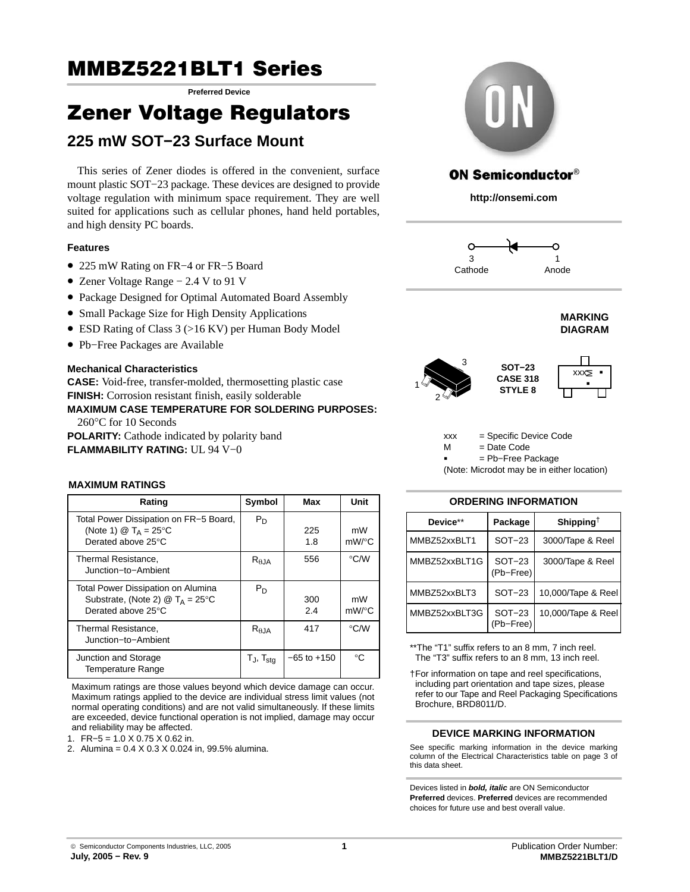# **MMBZ5221BLT1 Series** MMBZ5221BLT1 Series **Preferred Device**

## 225 mW SOT 22 Surfooo Mount **225 mW SOT−23 Surface Mount**

This series of Zener diodes is offered in the convenient, surface mount plastic SOT−23 package. These devices are designed to provide voltage regulation with minimum space requirement. They are well suited for applications such as cellular phones, hand held portables, and high density PC boards.

### **Features**

- 225 mW Rating on FR−4 or FR−5 Board
- Zener Voltage Range − 2.4 V to 91 V
- Package Designed for Optimal Automated Board Assembly
- Small Package Size for High Density Applications
- ESD Rating of Class 3 (>16 KV) per Human Body Model
- Pb−Free Packages are Available

#### **Mechanical Characteristics**

**CASE:** Void-free, transfer-molded, thermosetting plastic case **FINISH:** Corrosion resistant finish, easily solderable **MAXIMUM CASE TEMPERATURE FOR SOLDERING PURPOSES:** 260°C for 10 Seconds **POLARITY:** Cathode indicated by polarity band

**FLAMMABILITY RATING:** UL 94 V−0



## **ON Semiconductor®**

**http://onsemi.com**







xxx = Specific Device Code = Date Code  $M$ 

= Pb−Free Package

(Note: Microdot may be in either location)

#### **ORDERING INFORMATION**

| Device**      | Package               | Shipping <sup>†</sup> |
|---------------|-----------------------|-----------------------|
| MMBZ52xxBLT1  | $SOT-23$              | 3000/Tape & Reel      |
| MMBZ52xxBLT1G | $SOT-23$<br>(Pb-Free) | 3000/Tape & Reel      |
| MMBZ52xxBLT3  | $SOT-23$              | 10,000/Tape & Reel    |
| MMBZ52xxBLT3G | $SOT-23$<br>(Pb-Free) | 10,000/Tape & Reel    |

\*\*The "T1" suffix refers to an 8 mm, 7 inch reel. The "T3" suffix refers to an 8 mm, 13 inch reel.

†For information on tape and reel specifications, including part orientation and tape sizes, please refer to our Tape and Reel Packaging Specifications Brochure, BRD8011/D.

### **DEVICE MARKING INFORMATION**

See specific marking information in the device marking column of the Electrical Characteristics table on page [3 of](#page-2-0) [this data sheet.](#page-2-0)

Devices listed in *bold, italic* are ON Semiconductor **Preferred** devices. **Preferred** devices are recommended choices for future use and best overall value.

## **MAXIMUM RATINGS**

| Rating                                                                                                                               | Symbol            | Max             | Unit               |
|--------------------------------------------------------------------------------------------------------------------------------------|-------------------|-----------------|--------------------|
| Total Power Dissipation on FR-5 Board,<br>(Note 1) $\textcircled{2}$ T <sub>A</sub> = 25 <sup>o</sup> C<br>Derated above 25°C        | $P_D$             | 225<br>1.8      | mW<br>$mW$ /°C     |
| Thermal Resistance,<br>Junction-to-Ambient                                                                                           | $R_{\theta$ JA    | 556             | $\rm ^{\circ}$ C/W |
| Total Power Dissipation on Alumina<br>Substrate, (Note 2) $\textcircled{2}$ T <sub>A</sub> = 25 <sup>°</sup> C<br>Derated above 25°C | $P_D$             | 300<br>2.4      | mW<br>$mW$ /°C     |
| Thermal Resistance,<br>Junction-to-Ambient                                                                                           | $R_{\theta JA}$   | 417             | $\rm ^{\circ}$ C/W |
| Junction and Storage<br><b>Temperature Range</b>                                                                                     | $T_J$ , $T_{stg}$ | $-65$ to $+150$ | °C                 |

Maximum ratings are those values beyond which device damage can occur. Maximum ratings applied to the device are individual stress limit values (not normal operating conditions) and are not valid simultaneously. If these limits are exceeded, device functional operation is not implied, damage may occur and reliability may be affected.



2. Alumina = 0.4 X 0.3 X 0.024 in, 99.5% alumina.

© Semiconductor Components Industries, LLC, 2005 **July, 2005 − Rev. 9**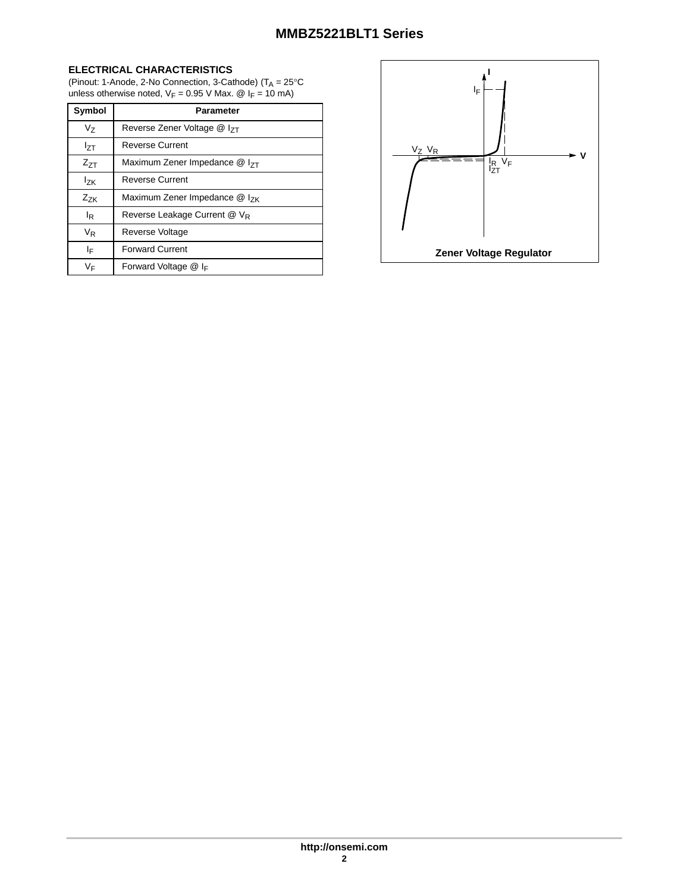#### **ELECTRICAL CHARACTERISTICS**

(Pinout: 1-Anode, 2-No Connection, 3-Cathode) ( $T_A = 25^{\circ}$ C unless otherwise noted,  $V_F = 0.95$  V Max. @  $I_F = 10$  mA)

| Symbol          | <b>Parameter</b>                          |
|-----------------|-------------------------------------------|
| Vz              | Reverse Zener Voltage @ I <sub>7T</sub>   |
| l <sub>ΖΤ</sub> | <b>Reverse Current</b>                    |
| $Z_{7T}$        | Maximum Zener Impedance @ I <sub>7T</sub> |
| l <sub>7K</sub> | <b>Reverse Current</b>                    |
| $Z_{ZK}$        | Maximum Zener Impedance $@$ $ _{7K}$      |
| l <sub>R</sub>  | Reverse Leakage Current @ VR              |
| V <sub>R</sub>  | Reverse Voltage                           |
| I⊧              | <b>Forward Current</b>                    |
| VF              | Forward Voltage $@$ I <sub>F</sub>        |

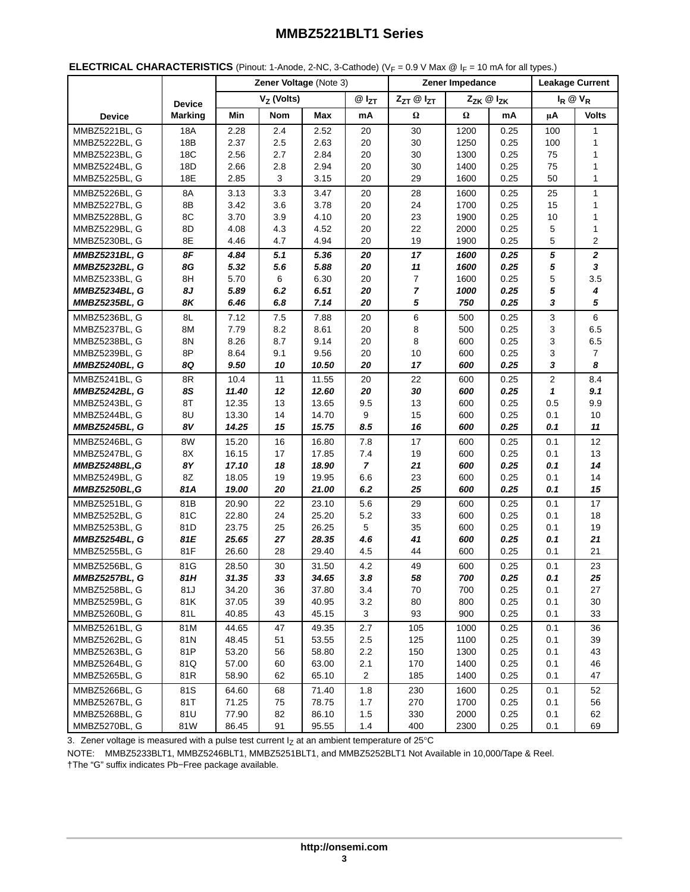<span id="page-2-0"></span>

|                      |                | Zener Voltage (Note 3) |            |           | Zener Impedance        |                |      | <b>Leakage Current</b> |     |                |
|----------------------|----------------|------------------------|------------|-----------|------------------------|----------------|------|------------------------|-----|----------------|
|                      | <b>Device</b>  | $V_Z$ (Volts)          |            | $@I_{ZT}$ | ZzT @ IzT<br>Zzk @ Izk |                |      | $I_R \otimes V_R$      |     |                |
| <b>Device</b>        | <b>Marking</b> | Min                    | <b>Nom</b> | Max       | mA                     | Ω              | Ω    | mA                     | μA  | <b>Volts</b>   |
| MMBZ5221BL, G        | 18A            | 2.28                   | 2.4        | 2.52      | 20                     | 30             | 1200 | 0.25                   | 100 | $\mathbf{1}$   |
| MMBZ5222BL, G        | 18B            | 2.37                   | 2.5        | 2.63      | 20                     | 30             | 1250 | 0.25                   | 100 | 1              |
| MMBZ5223BL, G        | 18C            | 2.56                   | 2.7        | 2.84      | 20                     | 30             | 1300 | 0.25                   | 75  | 1              |
| MMBZ5224BL, G        | 18D            | 2.66                   | 2.8        | 2.94      | 20                     | 30             | 1400 | 0.25                   | 75  | 1              |
| MMBZ5225BL, G        | 18E            | 2.85                   | 3          | 3.15      | 20                     | 29             | 1600 | 0.25                   | 50  | 1              |
| MMBZ5226BL, G        | 8A             | 3.13                   | 3.3        | 3.47      | 20                     | 28             | 1600 | 0.25                   | 25  | $\mathbf{1}$   |
| MMBZ5227BL, G        | 8B             | 3.42                   | 3.6        | 3.78      | 20                     | 24             | 1700 | 0.25                   | 15  | 1              |
| <b>MMBZ5228BL. G</b> | 8C             | 3.70                   | 3.9        | 4.10      | 20                     | 23             | 1900 | 0.25                   | 10  | 1              |
| MMBZ5229BL, G        | 8D             | 4.08                   | 4.3        | 4.52      | 20                     | 22             | 2000 | 0.25                   | 5   | 1              |
| MMBZ5230BL, G        | 8E             | 4.46                   | 4.7        | 4.94      | 20                     | 19             | 1900 | 0.25                   | 5   | 2              |
| <b>MMBZ5231BL, G</b> | 8F             | 4.84                   | 5.1        | 5.36      | 20                     | 17             | 1600 | 0.25                   | 5   | $\mathbf{2}$   |
| <b>MMBZ5232BL, G</b> | 8G             | 5.32                   | 5.6        | 5.88      | 20                     | 11             | 1600 | 0.25                   | 5   | 3              |
| MMBZ5233BL, G        | 8H             | 5.70                   | 6          | 6.30      | 20                     | $\overline{7}$ | 1600 | 0.25                   | 5   | 3.5            |
| <b>MMBZ5234BL, G</b> | 8J             | 5.89                   | 6.2        | 6.51      | 20                     | $\overline{7}$ | 1000 | 0.25                   | 5   | 4              |
| <b>MMBZ5235BL, G</b> | 8K             | 6.46                   | 6.8        | 7.14      | 20                     | 5              | 750  | 0.25                   | 3   | 5              |
| MMBZ5236BL, G        | 8L             | 7.12                   | 7.5        | 7.88      | 20                     | 6              | 500  | 0.25                   | 3   | 6              |
| MMBZ5237BL, G        | 8M             | 7.79                   | 8.2        | 8.61      | 20                     | 8              | 500  | 0.25                   | 3   | 6.5            |
| MMBZ5238BL, G        | 8N             | 8.26                   | 8.7        | 9.14      | 20                     | 8              | 600  | 0.25                   | 3   | 6.5            |
|                      | 8P             | 8.64                   | 9.1        | 9.56      | 20                     | 10             | 600  | 0.25                   | 3   | $\overline{7}$ |
| MMBZ5239BL, G        |                |                        |            |           | 20                     | 17             |      |                        | 3   | 8              |
| <b>MMBZ5240BL, G</b> | 8Q             | 9.50                   | 10         | 10.50     |                        |                | 600  | 0.25                   |     |                |
| MMBZ5241BL. G        | 8R             | 10.4                   | 11         | 11.55     | 20                     | 22             | 600  | 0.25                   | 2   | 8.4            |
| <b>MMBZ5242BL, G</b> | 8S             | 11.40                  | 12         | 12.60     | 20                     | 30             | 600  | 0.25                   | 1   | 9.1            |
| MMBZ5243BL, G        | 8T             | 12.35                  | 13         | 13.65     | 9.5                    | 13             | 600  | 0.25                   | 0.5 | 9.9            |
| MMBZ5244BL, G        | 8U             | 13.30                  | 14         | 14.70     | 9                      | 15             | 600  | 0.25                   | 0.1 | 10             |
| <b>MMBZ5245BL, G</b> | 8V             | 14.25                  | 15         | 15.75     | 8.5                    | 16             | 600  | 0.25                   | 0.1 | 11             |
| MMBZ5246BL, G        | 8W             | 15.20                  | 16         | 16.80     | 7.8                    | 17             | 600  | 0.25                   | 0.1 | 12             |
| MMBZ5247BL, G        | 8X             | 16.15                  | 17         | 17.85     | 7.4                    | 19             | 600  | 0.25                   | 0.1 | 13             |
| <b>MMBZ5248BL.G</b>  | 8Υ             | 17.10                  | 18         | 18.90     | $\overline{7}$         | 21             | 600  | 0.25                   | 0.1 | 14             |
| MMBZ5249BL, G        | 8Z             | 18.05                  | 19         | 19.95     | 6.6                    | 23             | 600  | 0.25                   | 0.1 | 14             |
| MMBZ5250BL,G         | 81A            | 19.00                  | 20         | 21.00     | 6.2                    | 25             | 600  | 0.25                   | 0.1 | 15             |
| <b>MMBZ5251BL, G</b> | 81B            | 20.90                  | 22         | 23.10     | 5.6                    | 29             | 600  | 0.25                   | 0.1 | 17             |
| MMBZ5252BL, G        | 81C            | 22.80                  | 24         | 25.20     | 5.2                    | 33             | 600  | 0.25                   | 0.1 | 18             |
| MMBZ5253BL, G        | 81D            | 23.75                  | 25         | 26.25     | 5                      | 35             | 600  | 0.25                   | 0.1 | 19             |
| <b>MMBZ5254BL, G</b> | 81E            | 25.65                  | 27         | 28.35     | 4.6                    | 41             | 600  | 0.25                   | 0.1 | 21             |
| MMBZ5255BL, G        | 81F            | 26.60                  | 28         | 29.40     | 4.5                    | 44             | 600  | 0.25                   | 0.1 | 21             |
| MMBZ5256BL, G        | 81G            | 28.50                  | 30         | 31.50     | 4.2                    | 49             | 600  | 0.25                   | 0.1 | 23             |
| <b>MMBZ5257BL, G</b> | 81H            | 31.35                  | 33         | 34.65     | 3.8                    | 58             | 700  | 0.25                   | 0.1 | 25             |
| MMBZ5258BL, G        | 81J            | 34.20                  | 36         | 37.80     | 3.4                    | 70             | 700  | 0.25                   | 0.1 | 27             |
| MMBZ5259BL, G        | 81K            | 37.05                  | 39         | 40.95     | 3.2                    | 80             | 800  | 0.25                   | 0.1 | 30             |
| MMBZ5260BL, G        | 81L            | 40.85                  | 43         | 45.15     | 3                      | 93             | 900  | 0.25                   | 0.1 | 33             |
| MMBZ5261BL. G        | 81M            | 44.65                  | 47         | 49.35     | 2.7                    | 105            | 1000 | 0.25                   | 0.1 | 36             |
| MMBZ5262BL, G        | 81N            | 48.45                  | 51         | 53.55     | 2.5                    | 125            | 1100 | 0.25                   | 0.1 | 39             |
| MMBZ5263BL, G        | 81P            | 53.20                  | 56         | 58.80     | 2.2                    | 150            | 1300 | 0.25                   | 0.1 | 43             |
| MMBZ5264BL, G        | 81Q            | 57.00                  | 60         | 63.00     | 2.1                    | 170            | 1400 | 0.25                   | 0.1 | 46             |
| MMBZ5265BL, G        | 81R            | 58.90                  | 62         | 65.10     | $\overline{2}$         | 185            | 1400 | 0.25                   | 0.1 | 47             |
| MMBZ5266BL, G        | 81S            | 64.60                  | 68         | 71.40     | 1.8                    | 230            | 1600 | 0.25                   | 0.1 | 52             |
| MMBZ5267BL, G        | 81T            | 71.25                  | 75         | 78.75     | 1.7                    | 270            | 1700 | 0.25                   | 0.1 | 56             |
| MMBZ5268BL, G        | 81U            | 77.90                  | 82         | 86.10     | 1.5                    | 330            | 2000 | 0.25                   | 0.1 | 62             |
| MMBZ5270BL, G        | 81W            | 86.45                  | 91         | 95.55     | 1.4                    | 400            | 2300 | 0.25                   | 0.1 | 69             |

3. Zener voltage is measured with a pulse test current  $I<sub>Z</sub>$  at an ambient temperature of 25°C

NOTE: MMBZ5233BLT1, MMBZ5246BLT1, MMBZ5251BLT1, and MMBZ5252BLT1 Not Available in 10,000/Tape & Reel. †The "G" suffix indicates Pb−Free package available.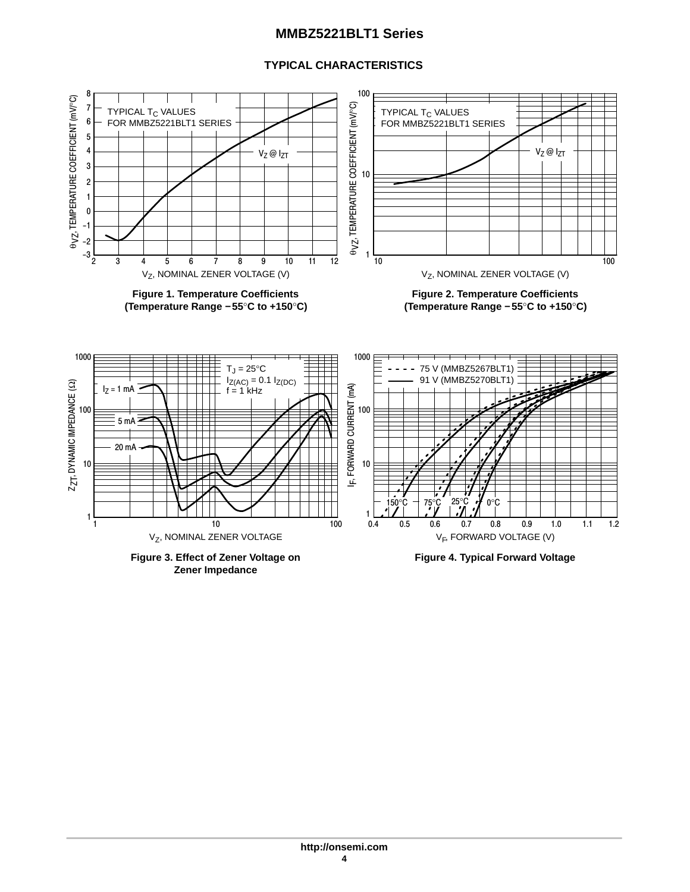## **TYPICAL CHARACTERISTICS**



**Zener Impedance**

**http://onsemi.com 4**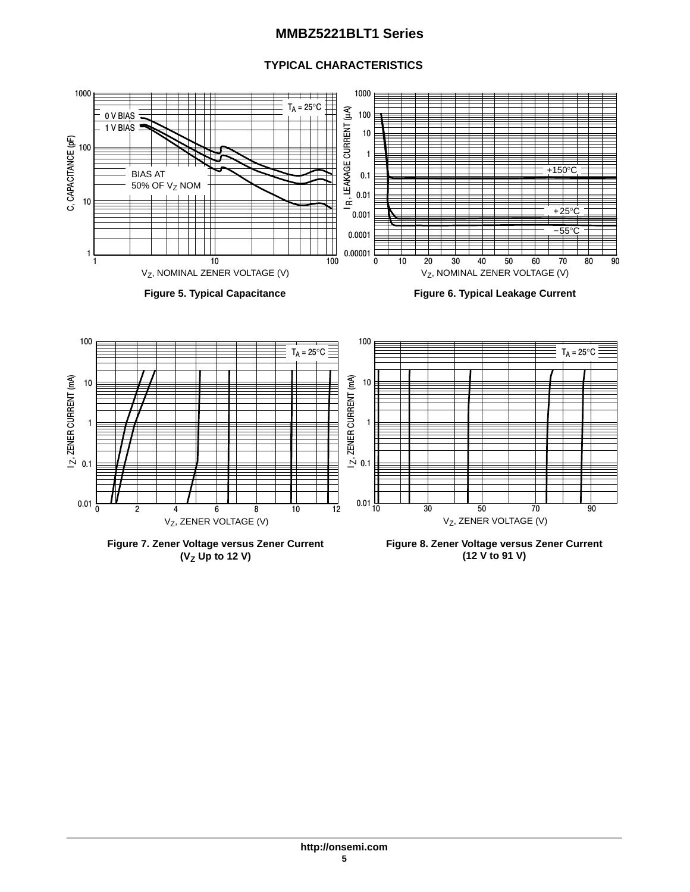## **TYPICAL CHARACTERISTICS**





**Figure 6. Typical Leakage Current**



**Figure 7. Zener Voltage versus Zener Current (VZ Up to 12 V)**

**Figure 8. Zener Voltage versus Zener Current (12 V to 91 V)**